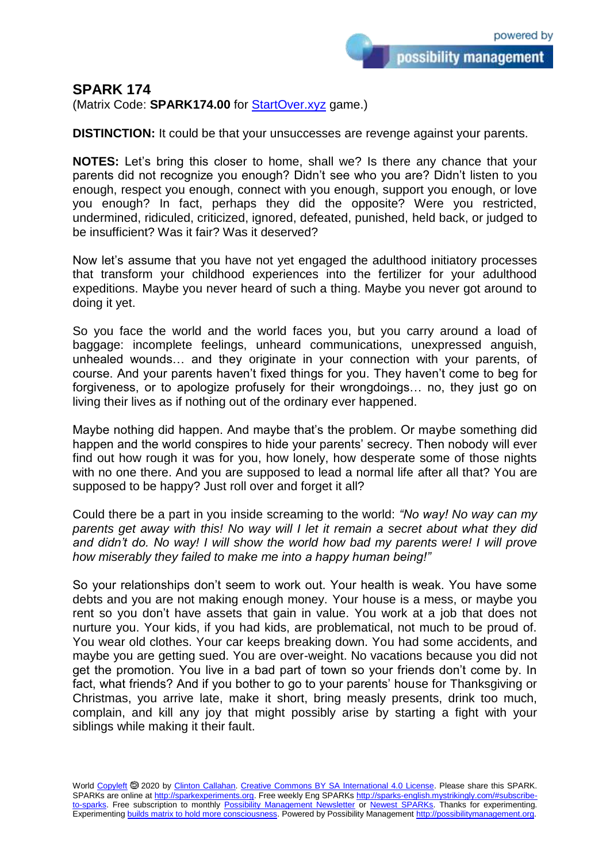possibility management

## **SPARK 174**

(Matrix Code: **SPARK174.00** for **StartOver.xyz** game.)

**DISTINCTION:** It could be that your unsuccesses are revenge against your parents.

**NOTES:** Let's bring this closer to home, shall we? Is there any chance that your parents did not recognize you enough? Didn't see who you are? Didn't listen to you enough, respect you enough, connect with you enough, support you enough, or love you enough? In fact, perhaps they did the opposite? Were you restricted, undermined, ridiculed, criticized, ignored, defeated, punished, held back, or judged to be insufficient? Was it fair? Was it deserved?

Now let's assume that you have not yet engaged the adulthood initiatory processes that transform your childhood experiences into the fertilizer for your adulthood expeditions. Maybe you never heard of such a thing. Maybe you never got around to doing it yet.

So you face the world and the world faces you, but you carry around a load of baggage: incomplete feelings, unheard communications, unexpressed anguish, unhealed wounds… and they originate in your connection with your parents, of course. And your parents haven't fixed things for you. They haven't come to beg for forgiveness, or to apologize profusely for their wrongdoings… no, they just go on living their lives as if nothing out of the ordinary ever happened.

Maybe nothing did happen. And maybe that's the problem. Or maybe something did happen and the world conspires to hide your parents' secrecy. Then nobody will ever find out how rough it was for you, how lonely, how desperate some of those nights with no one there. And you are supposed to lead a normal life after all that? You are supposed to be happy? Just roll over and forget it all?

Could there be a part in you inside screaming to the world: *"No way! No way can my parents get away with this! No way will I let it remain a secret about what they did and didn't do. No way! I will show the world how bad my parents were! I will prove how miserably they failed to make me into a happy human being!"*

So your relationships don't seem to work out. Your health is weak. You have some debts and you are not making enough money. Your house is a mess, or maybe you rent so you don't have assets that gain in value. You work at a job that does not nurture you. Your kids, if you had kids, are problematical, not much to be proud of. You wear old clothes. Your car keeps breaking down. You had some accidents, and maybe you are getting sued. You are over-weight. No vacations because you did not get the promotion. You live in a bad part of town so your friends don't come by. In fact, what friends? And if you bother to go to your parents' house for Thanksgiving or Christmas, you arrive late, make it short, bring measly presents, drink too much, complain, and kill any joy that might possibly arise by starting a fight with your siblings while making it their fault.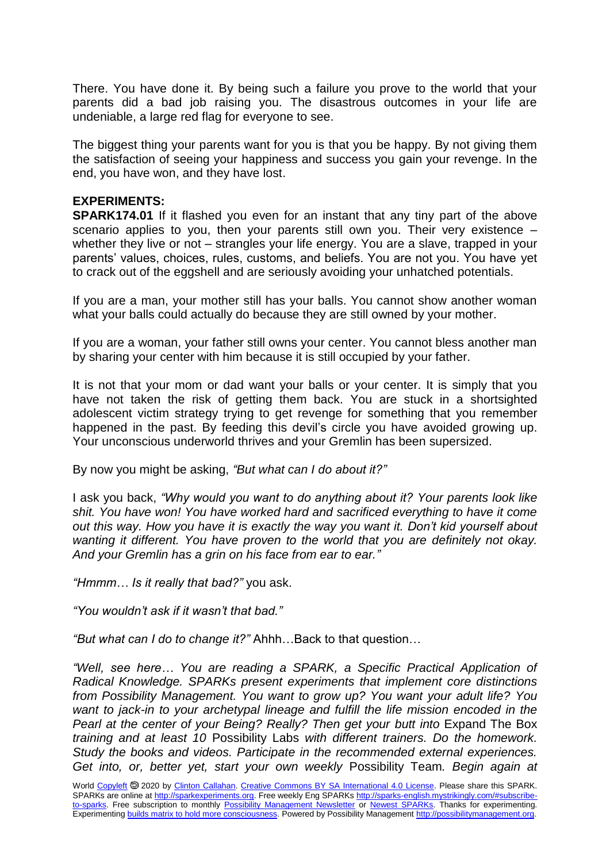There. You have done it. By being such a failure you prove to the world that your parents did a bad job raising you. The disastrous outcomes in your life are undeniable, a large red flag for everyone to see.

The biggest thing your parents want for you is that you be happy. By not giving them the satisfaction of seeing your happiness and success you gain your revenge. In the end, you have won, and they have lost.

## **EXPERIMENTS:**

**SPARK174.01** If it flashed you even for an instant that any tiny part of the above scenario applies to you, then your parents still own you. Their very existence whether they live or not – strangles your life energy. You are a slave, trapped in your parents' values, choices, rules, customs, and beliefs. You are not you. You have yet to crack out of the eggshell and are seriously avoiding your unhatched potentials.

If you are a man, your mother still has your balls. You cannot show another woman what your balls could actually do because they are still owned by your mother.

If you are a woman, your father still owns your center. You cannot bless another man by sharing your center with him because it is still occupied by your father.

It is not that your mom or dad want your balls or your center. It is simply that you have not taken the risk of getting them back. You are stuck in a shortsighted adolescent victim strategy trying to get revenge for something that you remember happened in the past. By feeding this devil's circle you have avoided growing up. Your unconscious underworld thrives and your Gremlin has been supersized.

By now you might be asking, *"But what can I do about it?"*

I ask you back, *"Why would you want to do anything about it? Your parents look like shit. You have won! You have worked hard and sacrificed everything to have it come out this way. How you have it is exactly the way you want it. Don't kid yourself about wanting it different. You have proven to the world that you are definitely not okay. And your Gremlin has a grin on his face from ear to ear."*

*"Hmmm… Is it really that bad?"* you ask.

*"You wouldn't ask if it wasn't that bad."*

*"But what can I do to change it?"* Ahhh…Back to that question…

*"Well, see here… You are reading a SPARK, a Specific Practical Application of Radical Knowledge. SPARKs present experiments that implement core distinctions from Possibility Management. You want to grow up? You want your adult life? You want to jack-in to your archetypal lineage and fulfill the life mission encoded in the Pearl at the center of your Being? Really? Then get your butt into Expand The Box training and at least 10* Possibility Labs *with different trainers. Do the homework. Study the books and videos. Participate in the recommended external experiences. Get into, or, better yet, start your own weekly* Possibility Team*. Begin again at*